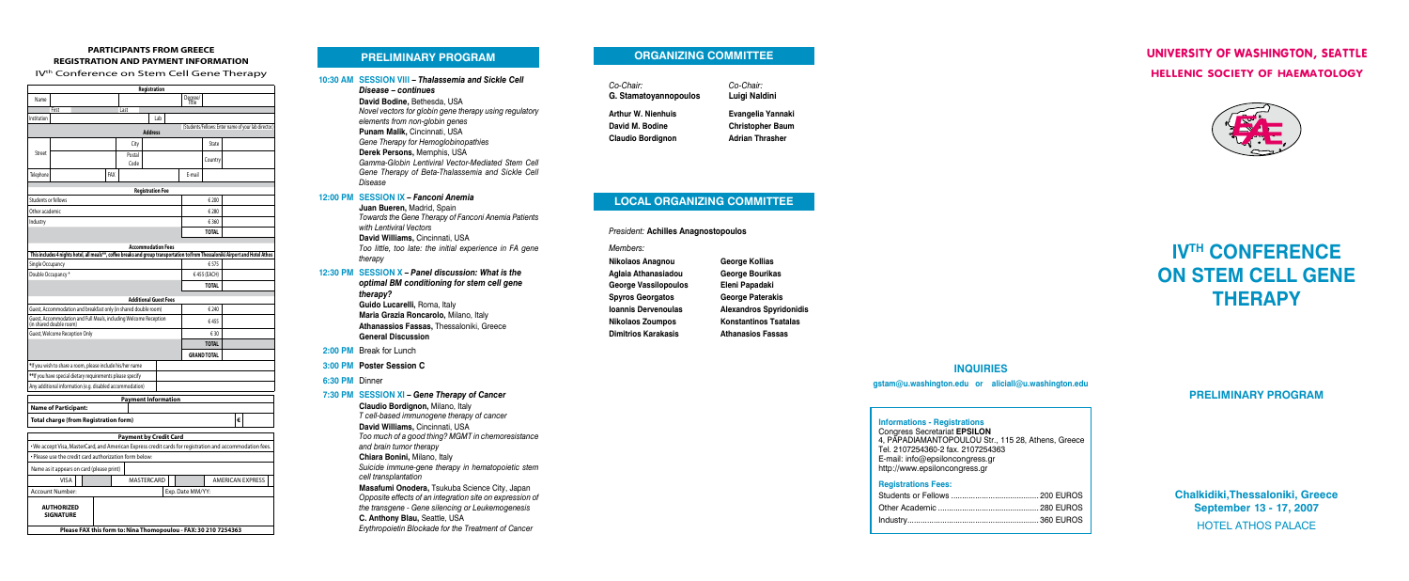# **IV<sup>TH</sup> CONFERENCE on Stem Cell Gene Therapy**

# **PRELIMINARY PROGRAM**

# **UNIVERSITY OF WASHINGTON, SEATTLE HELLENIC SOCIETY OF HAEMATOLOGY**



**Chalkidiki,Thessaloniki, Greece September 13 - 17, 2007** HOTEL athos palace

#### **Registrations Fees:**

**Informations - Registrations**

Congress Secretariat **EPSILON** 4, PAPADIAMANTOPOULOU Str., 115 28, Athens, Greece Tel. 2107254360-2 fax. 2107254363 E-mail: info@epsiloncongress.gr http://www.epsiloncongress.gr

*Co-Chair: Co-Chair:* **G. Stamatoyannopoulos Luigi Naldini**

 **Arthur W. Nienhuis Evangelia Yannaki David M. Bodine Christopher Baum Claudio Bordignon Adrian Thrasher**

# **Inquiries**

**gstam@u.washington.edu or aliciall@u.washington.edu**

# **Organizing Committee**

 *Members:*

# **LOCAL ORGANIZING COMMITTEE**

**President: Achilles Anagnostopoulos** 

**nikolaos anagnou aglaia athanasiadou George Vassilopoulos spyros georgatos ioannis dervenoulas nikolaos zoumpos dimitrios karakasis**

**George Kollias George Bourikas Eleni Papadaki George Paterakis alexandros spyridonidis konstantinos tsatalas athanasios fassas**

# **10:30 AM SESSION VIII –** *Thalassemia and Sickle Cell Disease – continues* **David Bodine,** Bethesda, USA *Novel vectors for globin gene therapy using regulatory elements from non-globin genes* **Punam Malik,** Cincinnati, USA *Gene Therapy for Hemoglobinopathies* **Derek Persons,** Memphis, USA *Gamma-Globin Lentiviral Vector-Mediated Stem Cell Gene Therapy of Beta-Thalassemia and Sickle Cell Disease* **12:00 PM SESSION IX –** *Fanconi Anemia* **Juan Bueren,** Madrid, Spain

*Towards the Gene Therapy of Fanconi Anemia Patients with Lentiviral Vectors* **David Williams,** Cincinnati, USA *Too little, too late: the initial experience in FA gene therapy*

**12:30 PM SESSION X –** *Panel discussion: What is the optimal BM conditioning for stem cell gene therapy?* 

> **Guido Lucarelli,** Roma, Italy **Maria Grazia Roncarolo,** Milano, Italy **Athanassios Fassas,** Thessaloniki, Greece **General Discussion**

- **2:00 PM** Break for Lunch
- **3:00 PM Poster Session C**
- **6:30 PM** Dinner

#### **7:30 PM SESSION XI –** *Gene Therapy of Cancer*

**Claudio Bordignon,** Milano, Italy *T cell-based immunogene therapy of cancer* **David Williams,** Cincinnati, USA *Too much of a good thing? MGMT in chemoresistance and brain tumor therapy* **Chiara Bonini,** Milano, Italy *Suicide immune-gene therapy in hematopoietic stem cell transplantation* **Masafumi Onodera,** Tsukuba Science City, Japan *Opposite effects of an integration site on expression of the transgene - Gene silencing or Leukemogenesis*

- **C. Anthony Blau,** Seattle, USA
- *Erythropoietin Blockade for the Treatment of Cancer*

# **PRELIMINARY PROGRAM**

# **PARTICIPANTS FROM GREECE REGISTRATION AND PAYMENT INFORMATION**

IV<sup>th</sup> Conference on Stem Cell Gene Therapy

|                                                                                             |                                                                                                                                |  |     |                               | Registration                 |                         |                  |                                                      |   |  |  |
|---------------------------------------------------------------------------------------------|--------------------------------------------------------------------------------------------------------------------------------|--|-----|-------------------------------|------------------------------|-------------------------|------------------|------------------------------------------------------|---|--|--|
| Name                                                                                        |                                                                                                                                |  |     |                               |                              |                         | Degree/<br>Title |                                                      |   |  |  |
|                                                                                             | First                                                                                                                          |  |     | Last                          |                              |                         |                  |                                                      |   |  |  |
| Institution                                                                                 |                                                                                                                                |  |     |                               | Lab                          |                         |                  |                                                      |   |  |  |
|                                                                                             |                                                                                                                                |  |     |                               | <b>Address</b>               |                         |                  | (Students/Fellows: Enter name of your lab director.) |   |  |  |
| Street                                                                                      |                                                                                                                                |  |     | City                          |                              |                         |                  | State                                                |   |  |  |
|                                                                                             |                                                                                                                                |  |     | Postal<br>Code                |                              |                         |                  | Country                                              |   |  |  |
| Telephone                                                                                   |                                                                                                                                |  | FAX |                               |                              |                         | E-mail           |                                                      |   |  |  |
|                                                                                             |                                                                                                                                |  |     |                               | <b>Registration Fee</b>      |                         |                  |                                                      |   |  |  |
| Students or fellows                                                                         |                                                                                                                                |  |     |                               |                              |                         |                  | € 200                                                |   |  |  |
| Other academic                                                                              |                                                                                                                                |  |     |                               |                              |                         |                  | € 280                                                |   |  |  |
| Industry                                                                                    |                                                                                                                                |  |     |                               |                              |                         |                  | € 360                                                |   |  |  |
|                                                                                             |                                                                                                                                |  |     |                               |                              |                         |                  | <b>TOTAL</b>                                         |   |  |  |
|                                                                                             |                                                                                                                                |  |     |                               | <b>Accommodation Fees</b>    |                         |                  |                                                      |   |  |  |
|                                                                                             | This includes 4 nights hotel, all meals**, coffee breaks and group transportation to/from Thessaloniki Airport and Hotel Athos |  |     |                               |                              |                         |                  |                                                      |   |  |  |
| Single Occupancy                                                                            |                                                                                                                                |  |     |                               |                              |                         |                  | €575                                                 |   |  |  |
| Double Occupancy*                                                                           |                                                                                                                                |  |     |                               |                              | €455 (EACH)             |                  |                                                      |   |  |  |
|                                                                                             |                                                                                                                                |  |     |                               |                              |                         |                  | <b>TOTAL</b>                                         |   |  |  |
|                                                                                             |                                                                                                                                |  |     |                               | <b>Additional Guest Fees</b> |                         |                  |                                                      |   |  |  |
| Guest, Accommodation and breakfast only (in shared double room)                             |                                                                                                                                |  |     |                               |                              |                         | € 240            |                                                      |   |  |  |
| Guest, Accommodation and Full Meals, including Welcome Reception<br>(in shared double room) |                                                                                                                                |  |     |                               |                              |                         | €455             |                                                      |   |  |  |
| Guest, Welcome Reception Only                                                               |                                                                                                                                |  |     |                               |                              |                         |                  | € 30                                                 |   |  |  |
|                                                                                             |                                                                                                                                |  |     |                               |                              |                         |                  | <b>TOTAL</b>                                         |   |  |  |
|                                                                                             |                                                                                                                                |  |     |                               |                              |                         |                  | <b>GRAND TOTAL</b>                                   |   |  |  |
|                                                                                             | *If you wish to share a room, please include his/her name                                                                      |  |     |                               |                              |                         |                  |                                                      |   |  |  |
| **If you have special dietary requirements please specify                                   |                                                                                                                                |  |     |                               |                              |                         |                  |                                                      |   |  |  |
|                                                                                             | Any additional information (e.g. disabled accommodation)                                                                       |  |     |                               |                              |                         |                  |                                                      |   |  |  |
|                                                                                             |                                                                                                                                |  |     | <b>Payment Information</b>    |                              |                         |                  |                                                      |   |  |  |
|                                                                                             | <b>Name of Participant:</b>                                                                                                    |  |     |                               |                              |                         |                  |                                                      |   |  |  |
|                                                                                             | <b>Total charge (from Registration form)</b>                                                                                   |  |     |                               |                              |                         |                  |                                                      | € |  |  |
|                                                                                             |                                                                                                                                |  |     | <b>Payment by Credit Card</b> |                              |                         |                  |                                                      |   |  |  |
|                                                                                             | . We accept Visa, MasterCard, and American Express credit cards for registration and accommodation fees.                       |  |     |                               |                              |                         |                  |                                                      |   |  |  |
|                                                                                             | • Please use the credit card authorization form below:                                                                         |  |     |                               |                              |                         |                  |                                                      |   |  |  |
|                                                                                             | Name as it appears on card (please print)                                                                                      |  |     |                               |                              |                         |                  |                                                      |   |  |  |
|                                                                                             | <b>VISA</b>                                                                                                                    |  |     |                               | <b>MASTERCARD</b>            | <b>AMERICAN EXPRESS</b> |                  |                                                      |   |  |  |
|                                                                                             | Account Number:                                                                                                                |  |     |                               |                              | Exp. Date MM/YY:        |                  |                                                      |   |  |  |
|                                                                                             | <b>AUTHORIZED</b><br><b>SIGNATURE</b>                                                                                          |  |     |                               |                              |                         |                  |                                                      |   |  |  |

**Please FAX this form to: Nina Thomopoulou - FAX: 30 210 7254363**